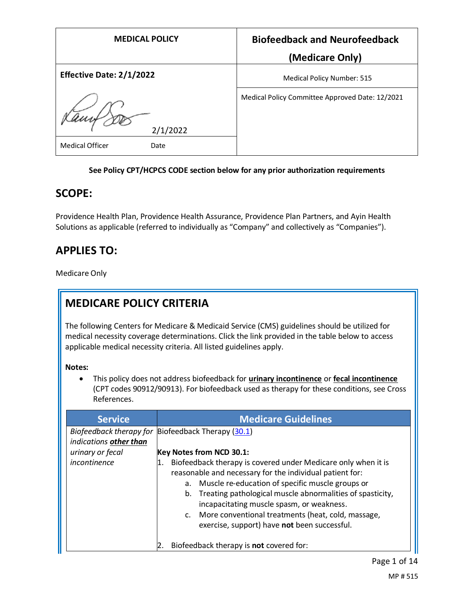| <b>MEDICAL POLICY</b>           | <b>Biofeedback and Neurofeedback</b>            |
|---------------------------------|-------------------------------------------------|
|                                 | (Medicare Only)                                 |
| <b>Effective Date: 2/1/2022</b> | <b>Medical Policy Number: 515</b>               |
| 2/1/2022                        | Medical Policy Committee Approved Date: 12/2021 |
| <b>Medical Officer</b><br>Date  |                                                 |

### **See Policy CPT/HCPCS CODE section below for any prior authorization requirements**

## **SCOPE:**

Providence Health Plan, Providence Health Assurance, Providence Plan Partners, and Ayin Health Solutions as applicable (referred to individually as "Company" and collectively as "Companies").

# **APPLIES TO:**

Medicare Only

# **MEDICARE POLICY CRITERIA**

The following Centers for Medicare & Medicaid Service (CMS) guidelines should be utilized for medical necessity coverage determinations. Click the link provided in the table below to access applicable medical necessity criteria. All listed guidelines apply.

### **Notes:**

• This policy does not address biofeedback for **urinary incontinence** or **fecal incontinence** (CPT codes 90912/90913). For biofeedback used as therapy for these conditions, see Cross References.

| <b>Service</b>         | <b>Medicare Guidelines</b>                                                                                                                                                                                                                                                                                                                                                                                   |
|------------------------|--------------------------------------------------------------------------------------------------------------------------------------------------------------------------------------------------------------------------------------------------------------------------------------------------------------------------------------------------------------------------------------------------------------|
| indications other than | Biofeedback therapy for Biofeedback Therapy (30.1)                                                                                                                                                                                                                                                                                                                                                           |
| urinary or fecal       | Key Notes from NCD 30.1:                                                                                                                                                                                                                                                                                                                                                                                     |
| incontinence           | Biofeedback therapy is covered under Medicare only when it is<br>reasonable and necessary for the individual patient for:<br>Muscle re-education of specific muscle groups or<br>а.<br>Treating pathological muscle abnormalities of spasticity,<br>b.<br>incapacitating muscle spasm, or weakness.<br>c. More conventional treatments (heat, cold, massage,<br>exercise, support) have not been successful. |
|                        | Biofeedback therapy is not covered for:                                                                                                                                                                                                                                                                                                                                                                      |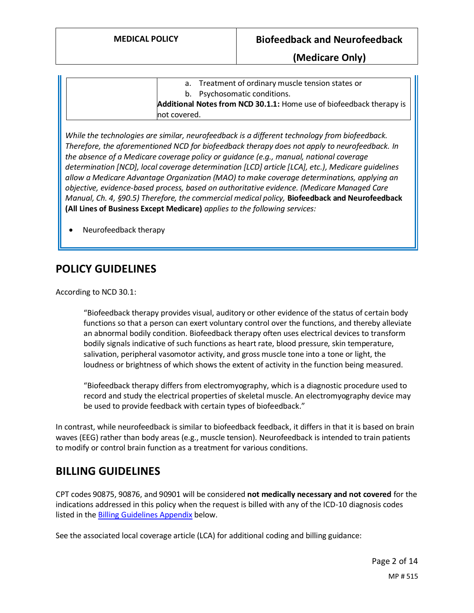|              | a. Treatment of ordinary muscle tension states or                    |
|--------------|----------------------------------------------------------------------|
|              | b. Psychosomatic conditions.                                         |
|              | Additional Notes from NCD 30.1.1: Home use of biofeedback therapy is |
| not covered. |                                                                      |

*While the technologies are similar, neurofeedback is a different technology from biofeedback. Therefore, the aforementioned NCD for biofeedback therapy does not apply to neurofeedback. In the absence of a Medicare coverage policy or guidance (e.g., manual, national coverage determination [NCD], local coverage determination [LCD] article [LCA], etc.), Medicare guidelines allow a Medicare Advantage Organization (MAO) to make coverage determinations, applying an objective, evidence-based process, based on authoritative evidence. (Medicare Managed Care Manual, Ch. 4, §90.5) Therefore, the commercial medical policy,* **Biofeedback and Neurofeedback (All Lines of Business Except Medicare)** *applies to the following services:*

• Neurofeedback therapy

# **POLICY GUIDELINES**

According to NCD 30.1:

"Biofeedback therapy provides visual, auditory or other evidence of the status of certain body functions so that a person can exert voluntary control over the functions, and thereby alleviate an abnormal bodily condition. Biofeedback therapy often uses electrical devices to transform bodily signals indicative of such functions as heart rate, blood pressure, skin temperature, salivation, peripheral vasomotor activity, and gross muscle tone into a tone or light, the loudness or brightness of which shows the extent of activity in the function being measured.

"Biofeedback therapy differs from electromyography, which is a diagnostic procedure used to record and study the electrical properties of skeletal muscle. An electromyography device may be used to provide feedback with certain types of biofeedback."

In contrast, while neurofeedback is similar to biofeedback feedback, it differs in that it is based on brain waves (EEG) rather than body areas (e.g., muscle tension). Neurofeedback is intended to train patients to modify or control brain function as a treatment for various conditions.

## **BILLING GUIDELINES**

CPT codes 90875, 90876, and 90901 will be considered **not medically necessary and not covered** for the indications addressed in this policy when the request is billed with any of the ICD-10 diagnosis codes listed in the **Billing Guidelines Appendix** below.

See the associated local coverage article (LCA) for additional coding and billing guidance: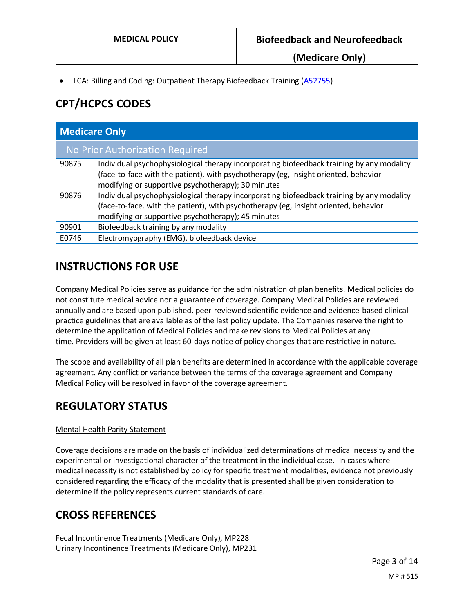• LCA: Billing and Coding: Outpatient Therapy Biofeedback Training [\(A52755\)](https://www.cms.gov/medicare-coverage-database/view/article.aspx?articleId=52755)

# **CPT/HCPCS CODES**

| <b>Medicare Only</b> |                                                                                                                                                                                                                                         |
|----------------------|-----------------------------------------------------------------------------------------------------------------------------------------------------------------------------------------------------------------------------------------|
|                      | No Prior Authorization Required                                                                                                                                                                                                         |
| 90875                | Individual psychophysiological therapy incorporating biofeedback training by any modality<br>(face-to-face with the patient), with psychotherapy (eg, insight oriented, behavior<br>modifying or supportive psychotherapy); 30 minutes  |
| 90876                | Individual psychophysiological therapy incorporating biofeedback training by any modality<br>(face-to-face. with the patient), with psychotherapy (eg, insight oriented, behavior<br>modifying or supportive psychotherapy); 45 minutes |
| 90901                | Biofeedback training by any modality                                                                                                                                                                                                    |
| E0746                | Electromyography (EMG), biofeedback device                                                                                                                                                                                              |

# **INSTRUCTIONS FOR USE**

Company Medical Policies serve as guidance for the administration of plan benefits. Medical policies do not constitute medical advice nor a guarantee of coverage. Company Medical Policies are reviewed annually and are based upon published, peer-reviewed scientific evidence and evidence-based clinical practice guidelines that are available as of the last policy update. The Companies reserve the right to determine the application of Medical Policies and make revisions to Medical Policies at any time. Providers will be given at least 60-days notice of policy changes that are restrictive in nature.

The scope and availability of all plan benefits are determined in accordance with the applicable coverage agreement. Any conflict or variance between the terms of the coverage agreement and Company Medical Policy will be resolved in favor of the coverage agreement.

# **REGULATORY STATUS**

### Mental Health Parity Statement

Coverage decisions are made on the basis of individualized determinations of medical necessity and the experimental or investigational character of the treatment in the individual case. In cases where medical necessity is not established by policy for specific treatment modalities, evidence not previously considered regarding the efficacy of the modality that is presented shall be given consideration to determine if the policy represents current standards of care.

## **CROSS REFERENCES**

Fecal Incontinence Treatments (Medicare Only), MP228 Urinary Incontinence Treatments (Medicare Only), MP231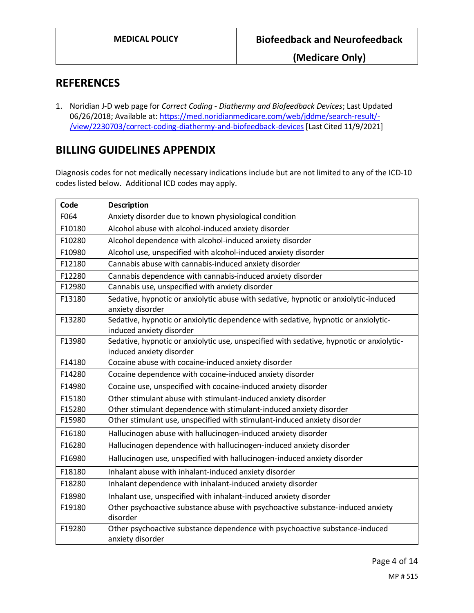### **REFERENCES**

1. Noridian J-D web page for *Correct Coding - Diathermy and Biofeedback Devices*; Last Updated 06/26/2018; Available at: [https://med.noridianmedicare.com/web/jddme/search-result/-](https://med.noridianmedicare.com/web/jddme/search-result/-/view/2230703/correct-coding-diathermy-and-biofeedback-devices) [/view/2230703/correct-coding-diathermy-and-biofeedback-devices](https://med.noridianmedicare.com/web/jddme/search-result/-/view/2230703/correct-coding-diathermy-and-biofeedback-devices)[Last Cited 11/9/2021]

# **BILLING GUIDELINES APPENDIX**

Diagnosis codes for not medically necessary indications include but are not limited to any of the ICD-10 codes listed below. Additional ICD codes may apply.

| Code   | <b>Description</b>                                                                                                   |
|--------|----------------------------------------------------------------------------------------------------------------------|
| F064   | Anxiety disorder due to known physiological condition                                                                |
| F10180 | Alcohol abuse with alcohol-induced anxiety disorder                                                                  |
| F10280 | Alcohol dependence with alcohol-induced anxiety disorder                                                             |
| F10980 | Alcohol use, unspecified with alcohol-induced anxiety disorder                                                       |
| F12180 | Cannabis abuse with cannabis-induced anxiety disorder                                                                |
| F12280 | Cannabis dependence with cannabis-induced anxiety disorder                                                           |
| F12980 | Cannabis use, unspecified with anxiety disorder                                                                      |
| F13180 | Sedative, hypnotic or anxiolytic abuse with sedative, hypnotic or anxiolytic-induced<br>anxiety disorder             |
| F13280 | Sedative, hypnotic or anxiolytic dependence with sedative, hypnotic or anxiolytic-<br>induced anxiety disorder       |
| F13980 | Sedative, hypnotic or anxiolytic use, unspecified with sedative, hypnotic or anxiolytic-<br>induced anxiety disorder |
| F14180 | Cocaine abuse with cocaine-induced anxiety disorder                                                                  |
| F14280 | Cocaine dependence with cocaine-induced anxiety disorder                                                             |
| F14980 | Cocaine use, unspecified with cocaine-induced anxiety disorder                                                       |
| F15180 | Other stimulant abuse with stimulant-induced anxiety disorder                                                        |
| F15280 | Other stimulant dependence with stimulant-induced anxiety disorder                                                   |
| F15980 | Other stimulant use, unspecified with stimulant-induced anxiety disorder                                             |
| F16180 | Hallucinogen abuse with hallucinogen-induced anxiety disorder                                                        |
| F16280 | Hallucinogen dependence with hallucinogen-induced anxiety disorder                                                   |
| F16980 | Hallucinogen use, unspecified with hallucinogen-induced anxiety disorder                                             |
| F18180 | Inhalant abuse with inhalant-induced anxiety disorder                                                                |
| F18280 | Inhalant dependence with inhalant-induced anxiety disorder                                                           |
| F18980 | Inhalant use, unspecified with inhalant-induced anxiety disorder                                                     |
| F19180 | Other psychoactive substance abuse with psychoactive substance-induced anxiety<br>disorder                           |
| F19280 | Other psychoactive substance dependence with psychoactive substance-induced<br>anxiety disorder                      |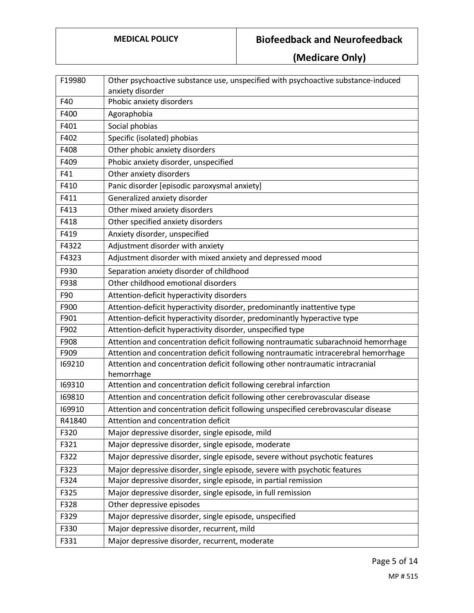| F19980 | Other psychoactive substance use, unspecified with psychoactive substance-induced           |
|--------|---------------------------------------------------------------------------------------------|
|        | anxiety disorder                                                                            |
| F40    | Phobic anxiety disorders                                                                    |
| F400   | Agoraphobia                                                                                 |
| F401   | Social phobias                                                                              |
| F402   | Specific (isolated) phobias                                                                 |
| F408   | Other phobic anxiety disorders                                                              |
| F409   | Phobic anxiety disorder, unspecified                                                        |
| F41    | Other anxiety disorders                                                                     |
| F410   | Panic disorder [episodic paroxysmal anxiety]                                                |
| F411   | Generalized anxiety disorder                                                                |
| F413   | Other mixed anxiety disorders                                                               |
| F418   | Other specified anxiety disorders                                                           |
| F419   | Anxiety disorder, unspecified                                                               |
| F4322  | Adjustment disorder with anxiety                                                            |
| F4323  | Adjustment disorder with mixed anxiety and depressed mood                                   |
| F930   | Separation anxiety disorder of childhood                                                    |
| F938   | Other childhood emotional disorders                                                         |
| F90    | Attention-deficit hyperactivity disorders                                                   |
| F900   | Attention-deficit hyperactivity disorder, predominantly inattentive type                    |
| F901   | Attention-deficit hyperactivity disorder, predominantly hyperactive type                    |
| F902   | Attention-deficit hyperactivity disorder, unspecified type                                  |
| F908   | Attention and concentration deficit following nontraumatic subarachnoid hemorrhage          |
| F909   | Attention and concentration deficit following nontraumatic intracerebral hemorrhage         |
| 169210 | Attention and concentration deficit following other nontraumatic intracranial<br>hemorrhage |
| 169310 | Attention and concentration deficit following cerebral infarction                           |
| 169810 | Attention and concentration deficit following other cerebrovascular disease                 |
| 169910 | Attention and concentration deficit following unspecified cerebrovascular disease           |
| R41840 | Attention and concentration deficit                                                         |
| F320   | Major depressive disorder, single episode, mild                                             |
| F321   | Major depressive disorder, single episode, moderate                                         |
| F322   | Major depressive disorder, single episode, severe without psychotic features                |
| F323   | Major depressive disorder, single episode, severe with psychotic features                   |
| F324   | Major depressive disorder, single episode, in partial remission                             |
| F325   | Major depressive disorder, single episode, in full remission                                |
| F328   | Other depressive episodes                                                                   |
| F329   | Major depressive disorder, single episode, unspecified                                      |
| F330   | Major depressive disorder, recurrent, mild                                                  |
| F331   | Major depressive disorder, recurrent, moderate                                              |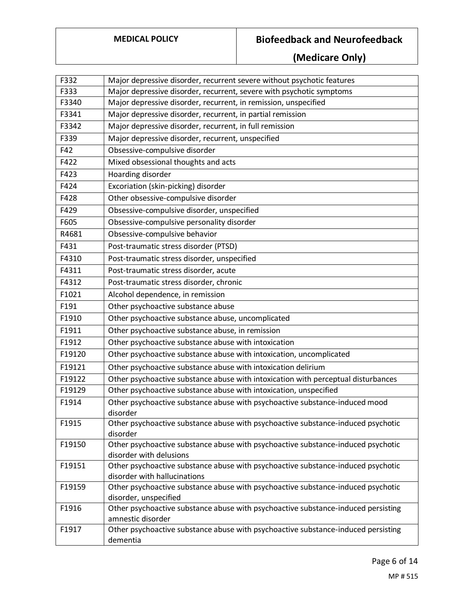| F332   | Major depressive disorder, recurrent severe without psychotic features                                 |
|--------|--------------------------------------------------------------------------------------------------------|
| F333   | Major depressive disorder, recurrent, severe with psychotic symptoms                                   |
| F3340  | Major depressive disorder, recurrent, in remission, unspecified                                        |
| F3341  | Major depressive disorder, recurrent, in partial remission                                             |
| F3342  | Major depressive disorder, recurrent, in full remission                                                |
| F339   | Major depressive disorder, recurrent, unspecified                                                      |
| F42    | Obsessive-compulsive disorder                                                                          |
| F422   | Mixed obsessional thoughts and acts                                                                    |
| F423   | Hoarding disorder                                                                                      |
| F424   | Excoriation (skin-picking) disorder                                                                    |
| F428   | Other obsessive-compulsive disorder                                                                    |
| F429   | Obsessive-compulsive disorder, unspecified                                                             |
| F605   | Obsessive-compulsive personality disorder                                                              |
| R4681  | Obsessive-compulsive behavior                                                                          |
| F431   | Post-traumatic stress disorder (PTSD)                                                                  |
| F4310  | Post-traumatic stress disorder, unspecified                                                            |
| F4311  | Post-traumatic stress disorder, acute                                                                  |
| F4312  | Post-traumatic stress disorder, chronic                                                                |
| F1021  | Alcohol dependence, in remission                                                                       |
| F191   | Other psychoactive substance abuse                                                                     |
| F1910  | Other psychoactive substance abuse, uncomplicated                                                      |
| F1911  | Other psychoactive substance abuse, in remission                                                       |
| F1912  | Other psychoactive substance abuse with intoxication                                                   |
| F19120 | Other psychoactive substance abuse with intoxication, uncomplicated                                    |
| F19121 | Other psychoactive substance abuse with intoxication delirium                                          |
| F19122 | Other psychoactive substance abuse with intoxication with perceptual disturbances                      |
| F19129 | Other psychoactive substance abuse with intoxication, unspecified                                      |
| F1914  | Other psychoactive substance abuse with psychoactive substance-induced mood<br>disorder                |
| F1915  | Other psychoactive substance abuse with psychoactive substance-induced psychotic<br>disorder           |
| F19150 | Other psychoactive substance abuse with psychoactive substance-induced psychotic                       |
|        | disorder with delusions                                                                                |
| F19151 | Other psychoactive substance abuse with psychoactive substance-induced psychotic                       |
|        | disorder with hallucinations                                                                           |
| F19159 | Other psychoactive substance abuse with psychoactive substance-induced psychotic                       |
|        | disorder, unspecified                                                                                  |
| F1916  | Other psychoactive substance abuse with psychoactive substance-induced persisting<br>amnestic disorder |
| F1917  | Other psychoactive substance abuse with psychoactive substance-induced persisting                      |
|        | dementia                                                                                               |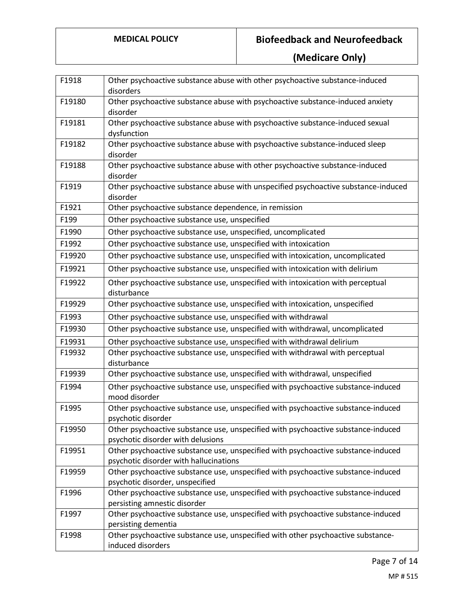| F1918  | Other psychoactive substance abuse with other psychoactive substance-induced<br>disorders                                   |
|--------|-----------------------------------------------------------------------------------------------------------------------------|
| F19180 | Other psychoactive substance abuse with psychoactive substance-induced anxiety<br>disorder                                  |
| F19181 | Other psychoactive substance abuse with psychoactive substance-induced sexual<br>dysfunction                                |
| F19182 | Other psychoactive substance abuse with psychoactive substance-induced sleep<br>disorder                                    |
| F19188 | Other psychoactive substance abuse with other psychoactive substance-induced<br>disorder                                    |
| F1919  | Other psychoactive substance abuse with unspecified psychoactive substance-induced<br>disorder                              |
| F1921  | Other psychoactive substance dependence, in remission                                                                       |
| F199   | Other psychoactive substance use, unspecified                                                                               |
| F1990  | Other psychoactive substance use, unspecified, uncomplicated                                                                |
| F1992  | Other psychoactive substance use, unspecified with intoxication                                                             |
| F19920 | Other psychoactive substance use, unspecified with intoxication, uncomplicated                                              |
| F19921 | Other psychoactive substance use, unspecified with intoxication with delirium                                               |
| F19922 | Other psychoactive substance use, unspecified with intoxication with perceptual<br>disturbance                              |
| F19929 | Other psychoactive substance use, unspecified with intoxication, unspecified                                                |
| F1993  | Other psychoactive substance use, unspecified with withdrawal                                                               |
| F19930 | Other psychoactive substance use, unspecified with withdrawal, uncomplicated                                                |
| F19931 | Other psychoactive substance use, unspecified with withdrawal delirium                                                      |
| F19932 | Other psychoactive substance use, unspecified with withdrawal with perceptual<br>disturbance                                |
| F19939 | Other psychoactive substance use, unspecified with withdrawal, unspecified                                                  |
| F1994  | Other psychoactive substance use, unspecified with psychoactive substance-induced<br>mood disorder                          |
| F1995  | Other psychoactive substance use, unspecified with psychoactive substance-induced<br>psychotic disorder                     |
| F19950 | Other psychoactive substance use, unspecified with psychoactive substance-induced<br>psychotic disorder with delusions      |
| F19951 | Other psychoactive substance use, unspecified with psychoactive substance-induced<br>psychotic disorder with hallucinations |
| F19959 | Other psychoactive substance use, unspecified with psychoactive substance-induced<br>psychotic disorder, unspecified        |
| F1996  | Other psychoactive substance use, unspecified with psychoactive substance-induced<br>persisting amnestic disorder           |
| F1997  | Other psychoactive substance use, unspecified with psychoactive substance-induced<br>persisting dementia                    |
| F1998  | Other psychoactive substance use, unspecified with other psychoactive substance-<br>induced disorders                       |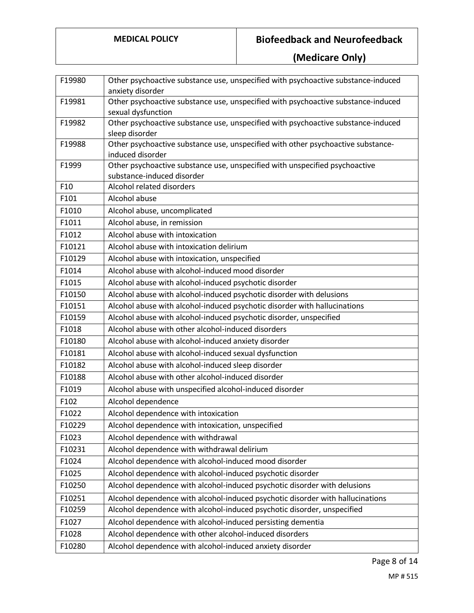| F19980 | Other psychoactive substance use, unspecified with psychoactive substance-induced                  |
|--------|----------------------------------------------------------------------------------------------------|
|        | anxiety disorder                                                                                   |
| F19981 | Other psychoactive substance use, unspecified with psychoactive substance-induced                  |
|        | sexual dysfunction                                                                                 |
| F19982 | Other psychoactive substance use, unspecified with psychoactive substance-induced                  |
| F19988 | sleep disorder<br>Other psychoactive substance use, unspecified with other psychoactive substance- |
|        | induced disorder                                                                                   |
| F1999  | Other psychoactive substance use, unspecified with unspecified psychoactive                        |
|        | substance-induced disorder                                                                         |
| F10    | Alcohol related disorders                                                                          |
| F101   | Alcohol abuse                                                                                      |
| F1010  | Alcohol abuse, uncomplicated                                                                       |
| F1011  | Alcohol abuse, in remission                                                                        |
| F1012  | Alcohol abuse with intoxication                                                                    |
| F10121 | Alcohol abuse with intoxication delirium                                                           |
| F10129 | Alcohol abuse with intoxication, unspecified                                                       |
| F1014  | Alcohol abuse with alcohol-induced mood disorder                                                   |
| F1015  | Alcohol abuse with alcohol-induced psychotic disorder                                              |
| F10150 | Alcohol abuse with alcohol-induced psychotic disorder with delusions                               |
| F10151 | Alcohol abuse with alcohol-induced psychotic disorder with hallucinations                          |
| F10159 | Alcohol abuse with alcohol-induced psychotic disorder, unspecified                                 |
| F1018  | Alcohol abuse with other alcohol-induced disorders                                                 |
| F10180 | Alcohol abuse with alcohol-induced anxiety disorder                                                |
| F10181 | Alcohol abuse with alcohol-induced sexual dysfunction                                              |
| F10182 | Alcohol abuse with alcohol-induced sleep disorder                                                  |
| F10188 | Alcohol abuse with other alcohol-induced disorder                                                  |
| F1019  | Alcohol abuse with unspecified alcohol-induced disorder                                            |
| F102   | Alcohol dependence                                                                                 |
| F1022  | Alcohol dependence with intoxication                                                               |
| F10229 | Alcohol dependence with intoxication, unspecified                                                  |
| F1023  | Alcohol dependence with withdrawal                                                                 |
| F10231 | Alcohol dependence with withdrawal delirium                                                        |
| F1024  | Alcohol dependence with alcohol-induced mood disorder                                              |
| F1025  | Alcohol dependence with alcohol-induced psychotic disorder                                         |
| F10250 | Alcohol dependence with alcohol-induced psychotic disorder with delusions                          |
| F10251 | Alcohol dependence with alcohol-induced psychotic disorder with hallucinations                     |
| F10259 | Alcohol dependence with alcohol-induced psychotic disorder, unspecified                            |
| F1027  | Alcohol dependence with alcohol-induced persisting dementia                                        |
| F1028  | Alcohol dependence with other alcohol-induced disorders                                            |
| F10280 | Alcohol dependence with alcohol-induced anxiety disorder                                           |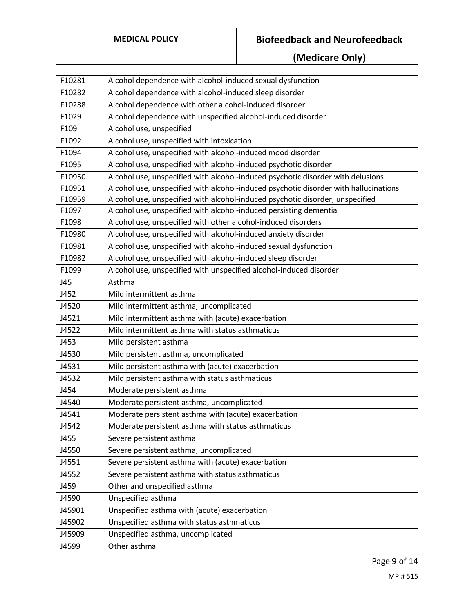| F10281 | Alcohol dependence with alcohol-induced sexual dysfunction                           |
|--------|--------------------------------------------------------------------------------------|
| F10282 | Alcohol dependence with alcohol-induced sleep disorder                               |
| F10288 | Alcohol dependence with other alcohol-induced disorder                               |
| F1029  | Alcohol dependence with unspecified alcohol-induced disorder                         |
| F109   | Alcohol use, unspecified                                                             |
| F1092  | Alcohol use, unspecified with intoxication                                           |
| F1094  | Alcohol use, unspecified with alcohol-induced mood disorder                          |
| F1095  | Alcohol use, unspecified with alcohol-induced psychotic disorder                     |
| F10950 | Alcohol use, unspecified with alcohol-induced psychotic disorder with delusions      |
| F10951 | Alcohol use, unspecified with alcohol-induced psychotic disorder with hallucinations |
| F10959 | Alcohol use, unspecified with alcohol-induced psychotic disorder, unspecified        |
| F1097  | Alcohol use, unspecified with alcohol-induced persisting dementia                    |
| F1098  | Alcohol use, unspecified with other alcohol-induced disorders                        |
| F10980 | Alcohol use, unspecified with alcohol-induced anxiety disorder                       |
| F10981 | Alcohol use, unspecified with alcohol-induced sexual dysfunction                     |
| F10982 | Alcohol use, unspecified with alcohol-induced sleep disorder                         |
| F1099  | Alcohol use, unspecified with unspecified alcohol-induced disorder                   |
| J45    | Asthma                                                                               |
| J452   | Mild intermittent asthma                                                             |
| J4520  | Mild intermittent asthma, uncomplicated                                              |
| J4521  | Mild intermittent asthma with (acute) exacerbation                                   |
| J4522  | Mild intermittent asthma with status asthmaticus                                     |
| J453   | Mild persistent asthma                                                               |
| J4530  | Mild persistent asthma, uncomplicated                                                |
| J4531  | Mild persistent asthma with (acute) exacerbation                                     |
| J4532  | Mild persistent asthma with status asthmaticus                                       |
| J454   | Moderate persistent asthma                                                           |
| J4540  | Moderate persistent asthma, uncomplicated                                            |
| J4541  | Moderate persistent asthma with (acute) exacerbation                                 |
| J4542  | Moderate persistent asthma with status asthmaticus                                   |
| J455   | Severe persistent asthma                                                             |
| J4550  | Severe persistent asthma, uncomplicated                                              |
| J4551  | Severe persistent asthma with (acute) exacerbation                                   |
| J4552  | Severe persistent asthma with status asthmaticus                                     |
| J459   | Other and unspecified asthma                                                         |
| J4590  | Unspecified asthma                                                                   |
| J45901 | Unspecified asthma with (acute) exacerbation                                         |
| J45902 | Unspecified asthma with status asthmaticus                                           |
| J45909 | Unspecified asthma, uncomplicated                                                    |
| J4599  | Other asthma                                                                         |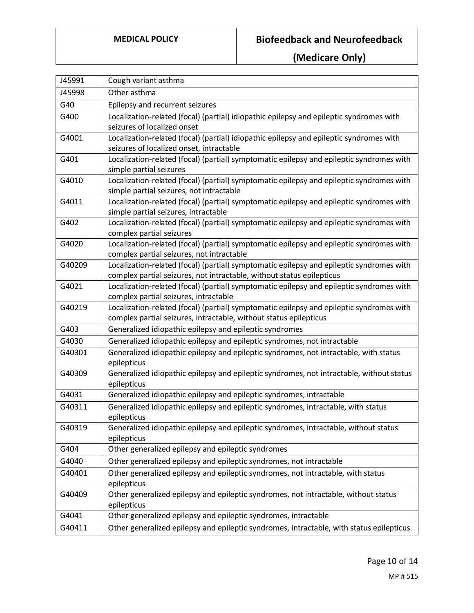| Other asthma<br>J45998<br>G40<br>Epilepsy and recurrent seizures<br>Localization-related (focal) (partial) idiopathic epilepsy and epileptic syndromes with<br>G400<br>seizures of localized onset<br>Localization-related (focal) (partial) idiopathic epilepsy and epileptic syndromes with<br>G4001<br>seizures of localized onset, intractable<br>Localization-related (focal) (partial) symptomatic epilepsy and epileptic syndromes with<br>G401<br>simple partial seizures<br>G4010<br>Localization-related (focal) (partial) symptomatic epilepsy and epileptic syndromes with<br>simple partial seizures, not intractable<br>Localization-related (focal) (partial) symptomatic epilepsy and epileptic syndromes with<br>G4011<br>simple partial seizures, intractable<br>Localization-related (focal) (partial) symptomatic epilepsy and epileptic syndromes with<br>G402<br>complex partial seizures |
|-----------------------------------------------------------------------------------------------------------------------------------------------------------------------------------------------------------------------------------------------------------------------------------------------------------------------------------------------------------------------------------------------------------------------------------------------------------------------------------------------------------------------------------------------------------------------------------------------------------------------------------------------------------------------------------------------------------------------------------------------------------------------------------------------------------------------------------------------------------------------------------------------------------------|
|                                                                                                                                                                                                                                                                                                                                                                                                                                                                                                                                                                                                                                                                                                                                                                                                                                                                                                                 |
|                                                                                                                                                                                                                                                                                                                                                                                                                                                                                                                                                                                                                                                                                                                                                                                                                                                                                                                 |
|                                                                                                                                                                                                                                                                                                                                                                                                                                                                                                                                                                                                                                                                                                                                                                                                                                                                                                                 |
|                                                                                                                                                                                                                                                                                                                                                                                                                                                                                                                                                                                                                                                                                                                                                                                                                                                                                                                 |
|                                                                                                                                                                                                                                                                                                                                                                                                                                                                                                                                                                                                                                                                                                                                                                                                                                                                                                                 |
|                                                                                                                                                                                                                                                                                                                                                                                                                                                                                                                                                                                                                                                                                                                                                                                                                                                                                                                 |
|                                                                                                                                                                                                                                                                                                                                                                                                                                                                                                                                                                                                                                                                                                                                                                                                                                                                                                                 |
|                                                                                                                                                                                                                                                                                                                                                                                                                                                                                                                                                                                                                                                                                                                                                                                                                                                                                                                 |
|                                                                                                                                                                                                                                                                                                                                                                                                                                                                                                                                                                                                                                                                                                                                                                                                                                                                                                                 |
|                                                                                                                                                                                                                                                                                                                                                                                                                                                                                                                                                                                                                                                                                                                                                                                                                                                                                                                 |
|                                                                                                                                                                                                                                                                                                                                                                                                                                                                                                                                                                                                                                                                                                                                                                                                                                                                                                                 |
|                                                                                                                                                                                                                                                                                                                                                                                                                                                                                                                                                                                                                                                                                                                                                                                                                                                                                                                 |
|                                                                                                                                                                                                                                                                                                                                                                                                                                                                                                                                                                                                                                                                                                                                                                                                                                                                                                                 |
| Localization-related (focal) (partial) symptomatic epilepsy and epileptic syndromes with<br>G4020                                                                                                                                                                                                                                                                                                                                                                                                                                                                                                                                                                                                                                                                                                                                                                                                               |
| complex partial seizures, not intractable                                                                                                                                                                                                                                                                                                                                                                                                                                                                                                                                                                                                                                                                                                                                                                                                                                                                       |
| Localization-related (focal) (partial) symptomatic epilepsy and epileptic syndromes with<br>G40209                                                                                                                                                                                                                                                                                                                                                                                                                                                                                                                                                                                                                                                                                                                                                                                                              |
| complex partial seizures, not intractable, without status epilepticus                                                                                                                                                                                                                                                                                                                                                                                                                                                                                                                                                                                                                                                                                                                                                                                                                                           |
| Localization-related (focal) (partial) symptomatic epilepsy and epileptic syndromes with<br>G4021                                                                                                                                                                                                                                                                                                                                                                                                                                                                                                                                                                                                                                                                                                                                                                                                               |
| complex partial seizures, intractable                                                                                                                                                                                                                                                                                                                                                                                                                                                                                                                                                                                                                                                                                                                                                                                                                                                                           |
| Localization-related (focal) (partial) symptomatic epilepsy and epileptic syndromes with<br>G40219                                                                                                                                                                                                                                                                                                                                                                                                                                                                                                                                                                                                                                                                                                                                                                                                              |
| complex partial seizures, intractable, without status epilepticus                                                                                                                                                                                                                                                                                                                                                                                                                                                                                                                                                                                                                                                                                                                                                                                                                                               |
| G403<br>Generalized idiopathic epilepsy and epileptic syndromes                                                                                                                                                                                                                                                                                                                                                                                                                                                                                                                                                                                                                                                                                                                                                                                                                                                 |
| Generalized idiopathic epilepsy and epileptic syndromes, not intractable<br>G4030                                                                                                                                                                                                                                                                                                                                                                                                                                                                                                                                                                                                                                                                                                                                                                                                                               |
| G40301<br>Generalized idiopathic epilepsy and epileptic syndromes, not intractable, with status                                                                                                                                                                                                                                                                                                                                                                                                                                                                                                                                                                                                                                                                                                                                                                                                                 |
| epilepticus                                                                                                                                                                                                                                                                                                                                                                                                                                                                                                                                                                                                                                                                                                                                                                                                                                                                                                     |
| Generalized idiopathic epilepsy and epileptic syndromes, not intractable, without status<br>G40309                                                                                                                                                                                                                                                                                                                                                                                                                                                                                                                                                                                                                                                                                                                                                                                                              |
| epilepticus                                                                                                                                                                                                                                                                                                                                                                                                                                                                                                                                                                                                                                                                                                                                                                                                                                                                                                     |
| Generalized idiopathic epilepsy and epileptic syndromes, intractable<br>G4031                                                                                                                                                                                                                                                                                                                                                                                                                                                                                                                                                                                                                                                                                                                                                                                                                                   |
| Generalized idiopathic epilepsy and epileptic syndromes, intractable, with status<br>G40311                                                                                                                                                                                                                                                                                                                                                                                                                                                                                                                                                                                                                                                                                                                                                                                                                     |
| epilepticus                                                                                                                                                                                                                                                                                                                                                                                                                                                                                                                                                                                                                                                                                                                                                                                                                                                                                                     |
| G40319<br>Generalized idiopathic epilepsy and epileptic syndromes, intractable, without status                                                                                                                                                                                                                                                                                                                                                                                                                                                                                                                                                                                                                                                                                                                                                                                                                  |
| epilepticus<br>Other generalized epilepsy and epileptic syndromes<br>G404                                                                                                                                                                                                                                                                                                                                                                                                                                                                                                                                                                                                                                                                                                                                                                                                                                       |
|                                                                                                                                                                                                                                                                                                                                                                                                                                                                                                                                                                                                                                                                                                                                                                                                                                                                                                                 |
| G4040<br>Other generalized epilepsy and epileptic syndromes, not intractable                                                                                                                                                                                                                                                                                                                                                                                                                                                                                                                                                                                                                                                                                                                                                                                                                                    |
| Other generalized epilepsy and epileptic syndromes, not intractable, with status<br>G40401                                                                                                                                                                                                                                                                                                                                                                                                                                                                                                                                                                                                                                                                                                                                                                                                                      |
| epilepticus<br>Other generalized epilepsy and epileptic syndromes, not intractable, without status<br>G40409                                                                                                                                                                                                                                                                                                                                                                                                                                                                                                                                                                                                                                                                                                                                                                                                    |
| epilepticus                                                                                                                                                                                                                                                                                                                                                                                                                                                                                                                                                                                                                                                                                                                                                                                                                                                                                                     |
| G4041<br>Other generalized epilepsy and epileptic syndromes, intractable                                                                                                                                                                                                                                                                                                                                                                                                                                                                                                                                                                                                                                                                                                                                                                                                                                        |
| Other generalized epilepsy and epileptic syndromes, intractable, with status epilepticus<br>G40411                                                                                                                                                                                                                                                                                                                                                                                                                                                                                                                                                                                                                                                                                                                                                                                                              |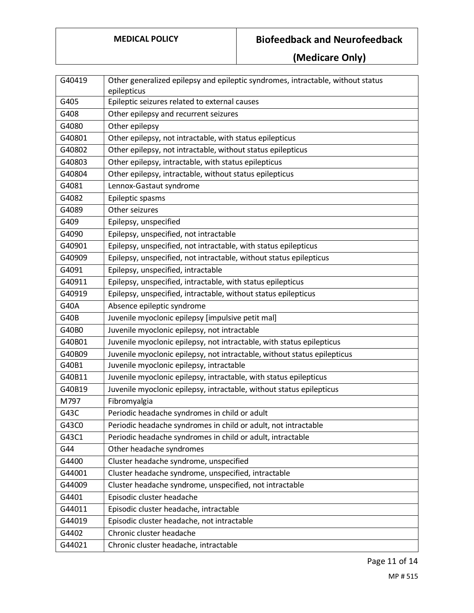| G40419      | Other generalized epilepsy and epileptic syndromes, intractable, without status |
|-------------|---------------------------------------------------------------------------------|
|             | epilepticus                                                                     |
| G405        | Epileptic seizures related to external causes                                   |
| G408        | Other epilepsy and recurrent seizures                                           |
| G4080       | Other epilepsy                                                                  |
| G40801      | Other epilepsy, not intractable, with status epilepticus                        |
| G40802      | Other epilepsy, not intractable, without status epilepticus                     |
| G40803      | Other epilepsy, intractable, with status epilepticus                            |
| G40804      | Other epilepsy, intractable, without status epilepticus                         |
| G4081       | Lennox-Gastaut syndrome                                                         |
| G4082       | Epileptic spasms                                                                |
| G4089       | Other seizures                                                                  |
| G409        | Epilepsy, unspecified                                                           |
| G4090       | Epilepsy, unspecified, not intractable                                          |
| G40901      | Epilepsy, unspecified, not intractable, with status epilepticus                 |
| G40909      | Epilepsy, unspecified, not intractable, without status epilepticus              |
| G4091       | Epilepsy, unspecified, intractable                                              |
| G40911      | Epilepsy, unspecified, intractable, with status epilepticus                     |
| G40919      | Epilepsy, unspecified, intractable, without status epilepticus                  |
| G40A        | Absence epileptic syndrome                                                      |
| <b>G40B</b> | Juvenile myoclonic epilepsy [impulsive petit mal]                               |
| G40B0       | Juvenile myoclonic epilepsy, not intractable                                    |
| G40B01      | Juvenile myoclonic epilepsy, not intractable, with status epilepticus           |
| G40B09      | Juvenile myoclonic epilepsy, not intractable, without status epilepticus        |
| G40B1       | Juvenile myoclonic epilepsy, intractable                                        |
| G40B11      | Juvenile myoclonic epilepsy, intractable, with status epilepticus               |
| G40B19      | Juvenile myoclonic epilepsy, intractable, without status epilepticus            |
| M797        | Fibromyalgia                                                                    |
| G43C        | Periodic headache syndromes in child or adult                                   |
| G43C0       | Periodic headache syndromes in child or adult, not intractable                  |
| G43C1       | Periodic headache syndromes in child or adult, intractable                      |
| G44         | Other headache syndromes                                                        |
| G4400       | Cluster headache syndrome, unspecified                                          |
| G44001      | Cluster headache syndrome, unspecified, intractable                             |
| G44009      | Cluster headache syndrome, unspecified, not intractable                         |
| G4401       | Episodic cluster headache                                                       |
| G44011      | Episodic cluster headache, intractable                                          |
| G44019      | Episodic cluster headache, not intractable                                      |
| G4402       | Chronic cluster headache                                                        |
| G44021      | Chronic cluster headache, intractable                                           |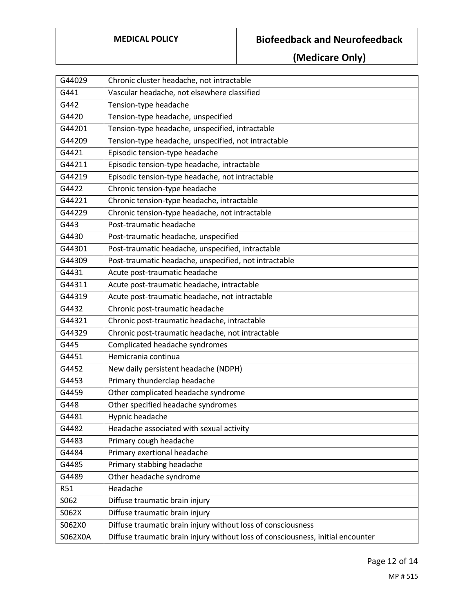| G44029     | Chronic cluster headache, not intractable                                       |
|------------|---------------------------------------------------------------------------------|
| G441       | Vascular headache, not elsewhere classified                                     |
| G442       | Tension-type headache                                                           |
| G4420      | Tension-type headache, unspecified                                              |
| G44201     | Tension-type headache, unspecified, intractable                                 |
| G44209     | Tension-type headache, unspecified, not intractable                             |
| G4421      | Episodic tension-type headache                                                  |
| G44211     | Episodic tension-type headache, intractable                                     |
| G44219     | Episodic tension-type headache, not intractable                                 |
| G4422      | Chronic tension-type headache                                                   |
| G44221     | Chronic tension-type headache, intractable                                      |
| G44229     | Chronic tension-type headache, not intractable                                  |
| G443       | Post-traumatic headache                                                         |
| G4430      | Post-traumatic headache, unspecified                                            |
| G44301     | Post-traumatic headache, unspecified, intractable                               |
| G44309     | Post-traumatic headache, unspecified, not intractable                           |
| G4431      | Acute post-traumatic headache                                                   |
| G44311     | Acute post-traumatic headache, intractable                                      |
| G44319     | Acute post-traumatic headache, not intractable                                  |
| G4432      | Chronic post-traumatic headache                                                 |
| G44321     | Chronic post-traumatic headache, intractable                                    |
| G44329     | Chronic post-traumatic headache, not intractable                                |
| G445       | Complicated headache syndromes                                                  |
| G4451      | Hemicrania continua                                                             |
| G4452      | New daily persistent headache (NDPH)                                            |
| G4453      | Primary thunderclap headache                                                    |
| G4459      | Other complicated headache syndrome                                             |
| G448       | Other specified headache syndromes                                              |
| G4481      | Hypnic headache                                                                 |
| G4482      | Headache associated with sexual activity                                        |
| G4483      | Primary cough headache                                                          |
| G4484      | Primary exertional headache                                                     |
| G4485      | Primary stabbing headache                                                       |
| G4489      | Other headache syndrome                                                         |
| <b>R51</b> | Headache                                                                        |
| S062       | Diffuse traumatic brain injury                                                  |
| S062X      | Diffuse traumatic brain injury                                                  |
| S062X0     | Diffuse traumatic brain injury without loss of consciousness                    |
| S062X0A    | Diffuse traumatic brain injury without loss of consciousness, initial encounter |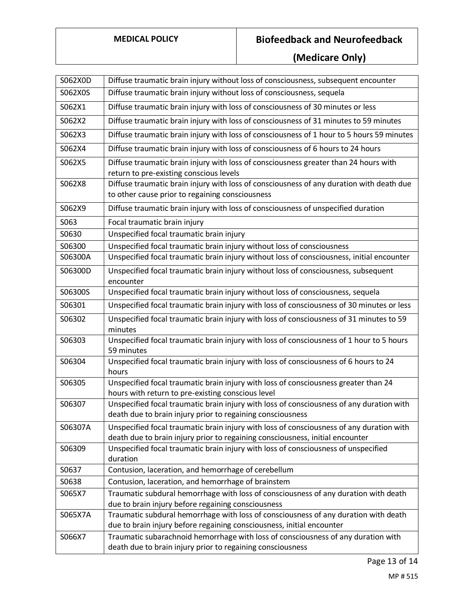| S062X0D | Diffuse traumatic brain injury without loss of consciousness, subsequent encounter                                                                                        |
|---------|---------------------------------------------------------------------------------------------------------------------------------------------------------------------------|
| S062X0S | Diffuse traumatic brain injury without loss of consciousness, sequela                                                                                                     |
| S062X1  | Diffuse traumatic brain injury with loss of consciousness of 30 minutes or less                                                                                           |
| S062X2  | Diffuse traumatic brain injury with loss of consciousness of 31 minutes to 59 minutes                                                                                     |
| S062X3  | Diffuse traumatic brain injury with loss of consciousness of 1 hour to 5 hours 59 minutes                                                                                 |
| S062X4  | Diffuse traumatic brain injury with loss of consciousness of 6 hours to 24 hours                                                                                          |
| S062X5  | Diffuse traumatic brain injury with loss of consciousness greater than 24 hours with                                                                                      |
| S062X8  | return to pre-existing conscious levels<br>Diffuse traumatic brain injury with loss of consciousness of any duration with death due                                       |
|         | to other cause prior to regaining consciousness                                                                                                                           |
| S062X9  | Diffuse traumatic brain injury with loss of consciousness of unspecified duration                                                                                         |
| S063    | Focal traumatic brain injury                                                                                                                                              |
| S0630   | Unspecified focal traumatic brain injury                                                                                                                                  |
| S06300  | Unspecified focal traumatic brain injury without loss of consciousness                                                                                                    |
| S06300A | Unspecified focal traumatic brain injury without loss of consciousness, initial encounter                                                                                 |
| S06300D | Unspecified focal traumatic brain injury without loss of consciousness, subsequent<br>encounter                                                                           |
| S06300S | Unspecified focal traumatic brain injury without loss of consciousness, sequela                                                                                           |
| S06301  | Unspecified focal traumatic brain injury with loss of consciousness of 30 minutes or less                                                                                 |
| S06302  | Unspecified focal traumatic brain injury with loss of consciousness of 31 minutes to 59<br>minutes                                                                        |
| S06303  | Unspecified focal traumatic brain injury with loss of consciousness of 1 hour to 5 hours<br>59 minutes                                                                    |
| S06304  | Unspecified focal traumatic brain injury with loss of consciousness of 6 hours to 24<br>hours                                                                             |
| S06305  | Unspecified focal traumatic brain injury with loss of consciousness greater than 24                                                                                       |
|         | hours with return to pre-existing conscious level                                                                                                                         |
| S06307  | Unspecified focal traumatic brain injury with loss of consciousness of any duration with<br>death due to brain injury prior to regaining consciousness                    |
| S06307A | Unspecified focal traumatic brain injury with loss of consciousness of any duration with<br>death due to brain injury prior to regaining consciousness, initial encounter |
| S06309  | Unspecified focal traumatic brain injury with loss of consciousness of unspecified<br>duration                                                                            |
| S0637   | Contusion, laceration, and hemorrhage of cerebellum                                                                                                                       |
| S0638   | Contusion, laceration, and hemorrhage of brainstem                                                                                                                        |
| S065X7  | Traumatic subdural hemorrhage with loss of consciousness of any duration with death<br>due to brain injury before regaining consciousness                                 |
| S065X7A | Traumatic subdural hemorrhage with loss of consciousness of any duration with death<br>due to brain injury before regaining consciousness, initial encounter              |
| S066X7  | Traumatic subarachnoid hemorrhage with loss of consciousness of any duration with<br>death due to brain injury prior to regaining consciousness                           |